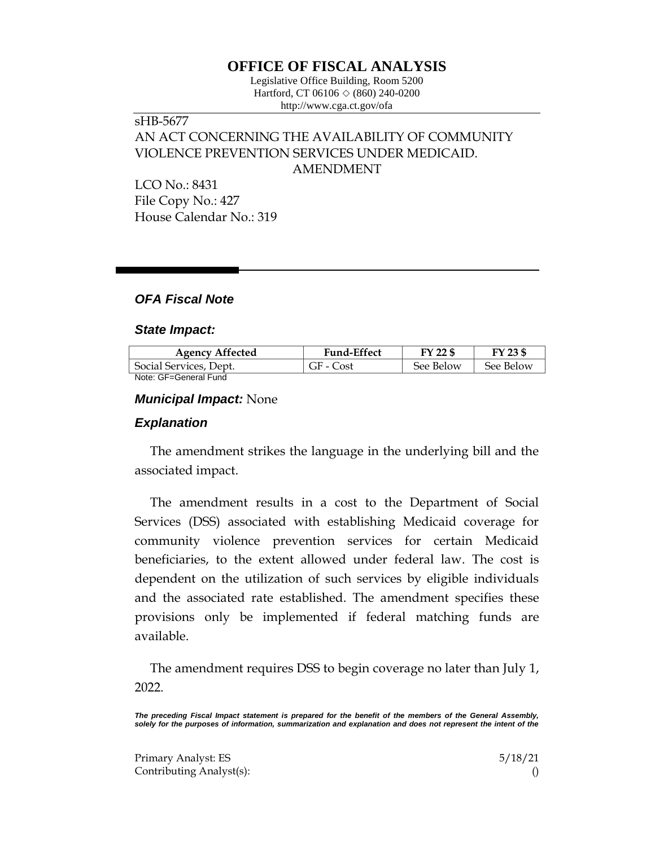# **OFFICE OF FISCAL ANALYSIS**

Legislative Office Building, Room 5200 Hartford, CT 06106 ◇ (860) 240-0200 http://www.cga.ct.gov/ofa

## sHB-5677 AN ACT CONCERNING THE AVAILABILITY OF COMMUNITY VIOLENCE PREVENTION SERVICES UNDER MEDICAID. AMENDMENT

LCO No.: 8431 File Copy No.: 427 House Calendar No.: 319

## *OFA Fiscal Note*

#### *State Impact:*

| <b>Agency Affected</b> | <b>Fund-Effect</b> | FY 22 \$  | FY 23 \$  |
|------------------------|--------------------|-----------|-----------|
| Social Services, Dept. | GF - Cost          | See Below | See Below |
| Note: GF=General Fund  |                    |           |           |

### *Municipal Impact:* None

#### *Explanation*

The amendment strikes the language in the underlying bill and the associated impact.

The amendment results in a cost to the Department of Social Services (DSS) associated with establishing Medicaid coverage for community violence prevention services for certain Medicaid beneficiaries, to the extent allowed under federal law. The cost is dependent on the utilization of such services by eligible individuals and the associated rate established. The amendment specifies these provisions only be implemented if federal matching funds are available.

The amendment requires DSS to begin coverage no later than July 1, 2022.

*The preceding Fiscal Impact statement is prepared for the benefit of the members of the General Assembly,*  solely for the purposes of information, summarization and explanation and does not represent the intent of the

Primary Analyst: ES 5/18/21 Contributing Analyst(s): ()